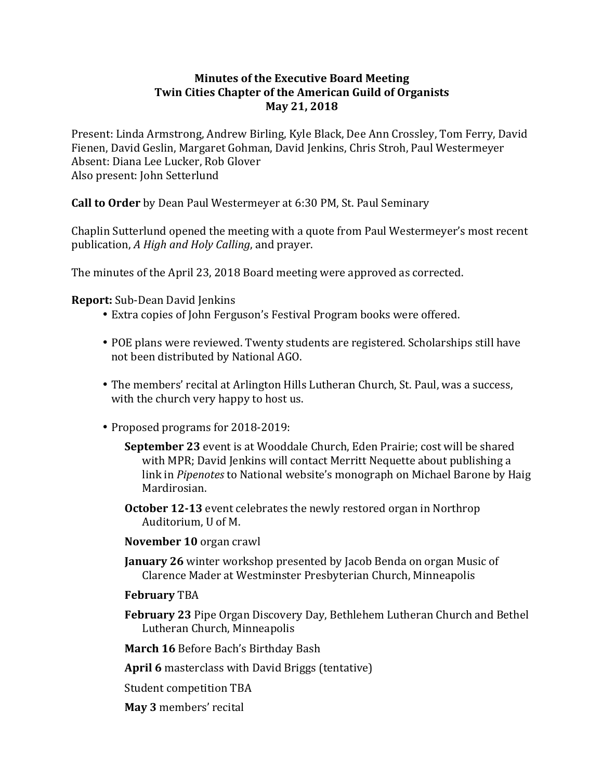# **Minutes of the Executive Board Meeting Twin Cities Chapter of the American Guild of Organists May 21, 2018**

Present: Linda Armstrong, Andrew Birling, Kyle Black, Dee Ann Crossley, Tom Ferry, David Fienen, David Geslin, Margaret Gohman, David Jenkins, Chris Stroh, Paul Westermeyer Absent: Diana Lee Lucker, Rob Glover Also present: John Setterlund

**Call to Order** by Dean Paul Westermeyer at 6:30 PM, St. Paul Seminary

Chaplin Sutterlund opened the meeting with a quote from Paul Westermeyer's most recent publication, *A High and Holy Calling*, and prayer.

The minutes of the April 23, 2018 Board meeting were approved as corrected.

## **Report:** Sub-Dean David Jenkins

- Extra copies of John Ferguson's Festival Program books were offered.
- POE plans were reviewed. Twenty students are registered. Scholarships still have not been distributed by National AGO.
- The members' recital at Arlington Hills Lutheran Church, St. Paul, was a success, with the church very happy to host us.
- Proposed programs for 2018-2019:
	- **September 23** event is at Wooddale Church, Eden Prairie; cost will be shared with MPR; David Jenkins will contact Merritt Nequette about publishing a link in *Pipenotes* to National website's monograph on Michael Barone by Haig Mardirosian.
	- **October 12-13** event celebrates the newly restored organ in Northrop Auditorium, U of M.
	- **November 10** organ crawl
	- **January 26** winter workshop presented by Jacob Benda on organ Music of Clarence Mader at Westminster Presbyterian Church, Minneapolis
	- **February** TBA
	- **February 23** Pipe Organ Discovery Day, Bethlehem Lutheran Church and Bethel Lutheran Church, Minneapolis
	- **March 16** Before Bach's Birthday Bash

**April 6** masterclass with David Briggs (tentative)

Student competition TBA

**May 3** members' recital